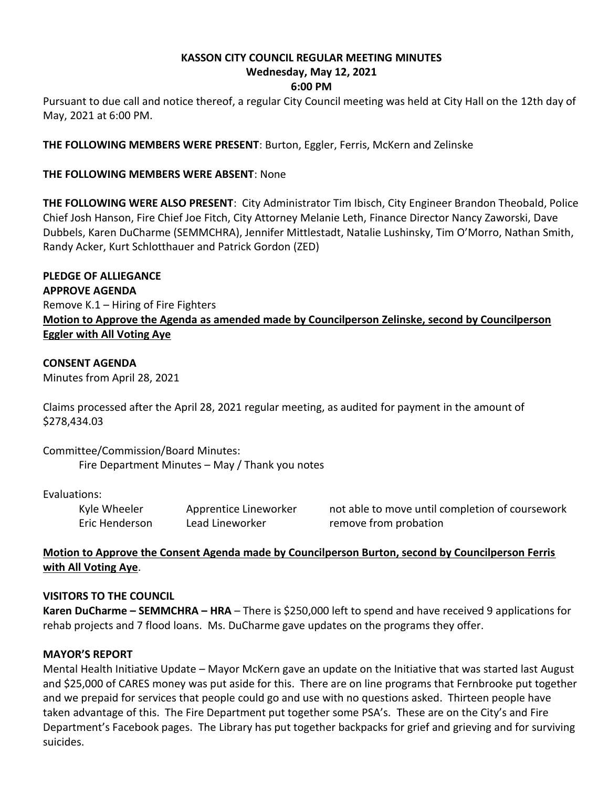# **KASSON CITY COUNCIL REGULAR MEETING MINUTES Wednesday, May 12, 2021**

### **6:00 PM**

Pursuant to due call and notice thereof, a regular City Council meeting was held at City Hall on the 12th day of May, 2021 at 6:00 PM.

**THE FOLLOWING MEMBERS WERE PRESENT**: Burton, Eggler, Ferris, McKern and Zelinske

### **THE FOLLOWING MEMBERS WERE ABSENT**: None

**THE FOLLOWING WERE ALSO PRESENT**: City Administrator Tim Ibisch, City Engineer Brandon Theobald, Police Chief Josh Hanson, Fire Chief Joe Fitch, City Attorney Melanie Leth, Finance Director Nancy Zaworski, Dave Dubbels, Karen DuCharme (SEMMCHRA), Jennifer Mittlestadt, Natalie Lushinsky, Tim O'Morro, Nathan Smith, Randy Acker, Kurt Schlotthauer and Patrick Gordon (ZED)

**PLEDGE OF ALLIEGANCE APPROVE AGENDA** Remove K.1 – Hiring of Fire Fighters **Motion to Approve the Agenda as amended made by Councilperson Zelinske, second by Councilperson Eggler with All Voting Aye**

#### **CONSENT AGENDA**

Minutes from April 28, 2021

Claims processed after the April 28, 2021 regular meeting, as audited for payment in the amount of \$278,434.03

Committee/Commission/Board Minutes: Fire Department Minutes – May / Thank you notes

Evaluations:

Eric Henderson Lead Lineworker remove from probation

Kyle Wheeler Apprentice Lineworker and able to move until completion of coursework

## **Motion to Approve the Consent Agenda made by Councilperson Burton, second by Councilperson Ferris with All Voting Aye**.

#### **VISITORS TO THE COUNCIL**

**Karen DuCharme – SEMMCHRA – HRA** – There is \$250,000 left to spend and have received 9 applications for rehab projects and 7 flood loans. Ms. DuCharme gave updates on the programs they offer.

#### **MAYOR'S REPORT**

Mental Health Initiative Update – Mayor McKern gave an update on the Initiative that was started last August and \$25,000 of CARES money was put aside for this. There are on line programs that Fernbrooke put together and we prepaid for services that people could go and use with no questions asked. Thirteen people have taken advantage of this. The Fire Department put together some PSA's. These are on the City's and Fire Department's Facebook pages. The Library has put together backpacks for grief and grieving and for surviving suicides.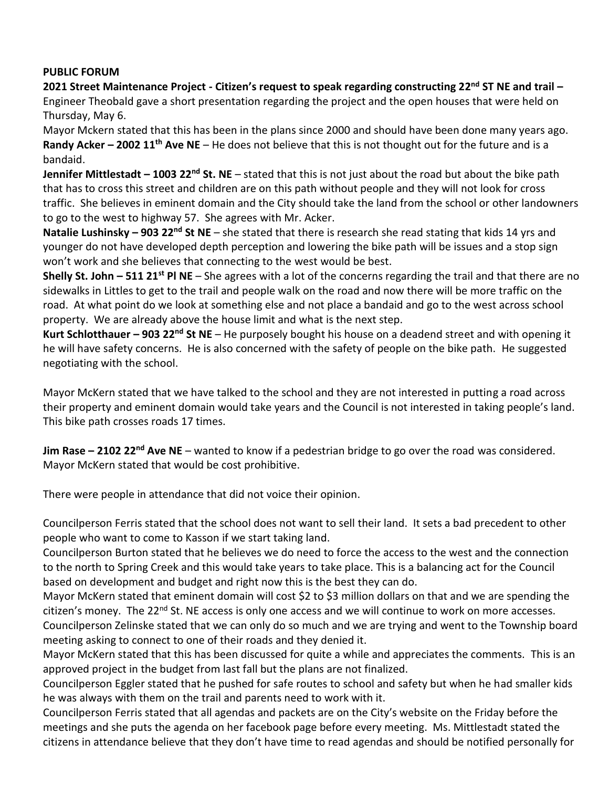#### **PUBLIC FORUM**

**2021 Street Maintenance Project - Citizen's request to speak regarding constructing 22 nd ST NE and trail –** Engineer Theobald gave a short presentation regarding the project and the open houses that were held on Thursday, May 6.

Mayor Mckern stated that this has been in the plans since 2000 and should have been done many years ago. **Randy Acker – 2002 11th Ave NE** – He does not believe that this is not thought out for the future and is a bandaid.

**Jennifer Mittlestadt – 1003 22nd St. NE** – stated that this is not just about the road but about the bike path that has to cross this street and children are on this path without people and they will not look for cross traffic. She believes in eminent domain and the City should take the land from the school or other landowners to go to the west to highway 57. She agrees with Mr. Acker.

**Natalie Lushinsky – 903 22nd St NE** – she stated that there is research she read stating that kids 14 yrs and younger do not have developed depth perception and lowering the bike path will be issues and a stop sign won't work and she believes that connecting to the west would be best.

**Shelly St. John – 511 21st Pl NE** – She agrees with a lot of the concerns regarding the trail and that there are no sidewalks in Littles to get to the trail and people walk on the road and now there will be more traffic on the road. At what point do we look at something else and not place a bandaid and go to the west across school property. We are already above the house limit and what is the next step.

**Kurt Schlotthauer – 903 22nd St NE** – He purposely bought his house on a deadend street and with opening it he will have safety concerns. He is also concerned with the safety of people on the bike path. He suggested negotiating with the school.

Mayor McKern stated that we have talked to the school and they are not interested in putting a road across their property and eminent domain would take years and the Council is not interested in taking people's land. This bike path crosses roads 17 times.

**Jim Rase – 2102 22nd Ave NE** – wanted to know if a pedestrian bridge to go over the road was considered. Mayor McKern stated that would be cost prohibitive.

There were people in attendance that did not voice their opinion.

Councilperson Ferris stated that the school does not want to sell their land. It sets a bad precedent to other people who want to come to Kasson if we start taking land.

Councilperson Burton stated that he believes we do need to force the access to the west and the connection to the north to Spring Creek and this would take years to take place. This is a balancing act for the Council based on development and budget and right now this is the best they can do.

Mayor McKern stated that eminent domain will cost \$2 to \$3 million dollars on that and we are spending the citizen's money. The 22<sup>nd</sup> St. NE access is only one access and we will continue to work on more accesses.

Councilperson Zelinske stated that we can only do so much and we are trying and went to the Township board meeting asking to connect to one of their roads and they denied it.

Mayor McKern stated that this has been discussed for quite a while and appreciates the comments. This is an approved project in the budget from last fall but the plans are not finalized.

Councilperson Eggler stated that he pushed for safe routes to school and safety but when he had smaller kids he was always with them on the trail and parents need to work with it.

Councilperson Ferris stated that all agendas and packets are on the City's website on the Friday before the meetings and she puts the agenda on her facebook page before every meeting. Ms. Mittlestadt stated the citizens in attendance believe that they don't have time to read agendas and should be notified personally for